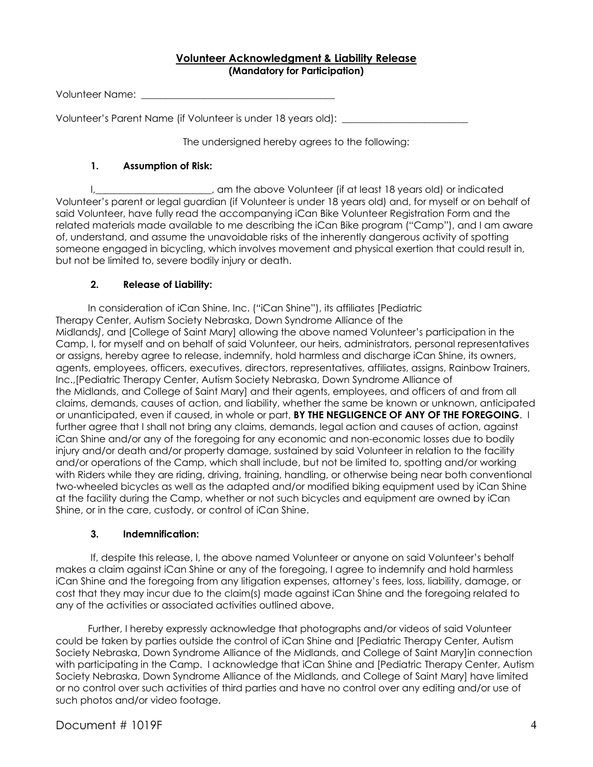## **Volunteer Acknowledgment & Liability Release (Mandatory for Participation)**

Volunteer Name:

Volunteer's Parent Name (if Volunteer is under 18 years old):

The undersigned hereby agrees to the following:

## **1. Assumption of Risk:**

I,\_\_\_\_\_\_\_\_\_\_\_\_\_\_\_\_\_\_\_\_\_\_\_\_, am the above Volunteer (if at least 18 years old) or indicated Volunteer's parent or legal guardian (if Volunteer is under 18 years old) and, for myself or on behalf of said Volunteer, have fully read the accompanying iCan Bike Volunteer Registration Form and the related materials made available to me describing the iCan Bike program ("Camp"), and I am aware of, understand, and assume the unavoidable risks of the inherently dangerous activity of spotting someone engaged in bicycling, which involves movement and physical exertion that could result in, but not be limited to, severe bodily injury or death.

## **2. Release of Liability:**

 In consideration of iCan Shine, Inc. ("iCan Shine"), its affiliates [Pediatric Therapy Center, Autism Society Nebraska, Down Syndrome Alliance of the Midlands*]*, and [College of Saint Mary] allowing the above named Volunteer's participation in the Camp, I, for myself and on behalf of said Volunteer, our heirs, administrators, personal representatives or assigns, hereby agree to release, indemnify, hold harmless and discharge iCan Shine, its owners, agents, employees, officers, executives, directors, representatives, affiliates, assigns, Rainbow Trainers, Inc.,[Pediatric Therapy Center, Autism Society Nebraska, Down Syndrome Alliance of the Midlands, and College of Saint Mary] and their agents, employees, and officers of and from all claims, demands, causes of action, and liability, whether the same be known or unknown, anticipated or unanticipated, even if caused, in whole or part, **BY THE NEGLIGENCE OF ANY OF THE FOREGOING**. I further agree that I shall not bring any claims, demands, legal action and causes of action, against iCan Shine and/or any of the foregoing for any economic and non-economic losses due to bodily injury and/or death and/or property damage, sustained by said Volunteer in relation to the facility and/or operations of the Camp, which shall include, but not be limited to, spotting and/or working with Riders while they are riding, driving, training, handling, or otherwise being near both conventional two-wheeled bicycles as well as the adapted and/or modified biking equipment used by iCan Shine at the facility during the Camp, whether or not such bicycles and equipment are owned by iCan Shine, or in the care, custody, or control of iCan Shine.

## **3. Indemnification:**

If, despite this release, I, the above named Volunteer or anyone on said Volunteer's behalf makes a claim against iCan Shine or any of the foregoing, I agree to indemnify and hold harmless iCan Shine and the foregoing from any litigation expenses, attorney's fees, loss, liability, damage, or cost that they may incur due to the claim(s) made against iCan Shine and the foregoing related to any of the activities or associated activities outlined above.

 Further, I hereby expressly acknowledge that photographs and/or videos of said Volunteer could be taken by parties outside the control of iCan Shine and [Pediatric Therapy Center, Autism Society Nebraska, Down Syndrome Alliance of the Midlands, and College of Saint Mary]in connection with participating in the Camp. I acknowledge that iCan Shine and [Pediatric Therapy Center, Autism Society Nebraska, Down Syndrome Alliance of the Midlands, and College of Saint Mary] have limited or no control over such activities of third parties and have no control over any editing and/or use of such photos and/or video footage.